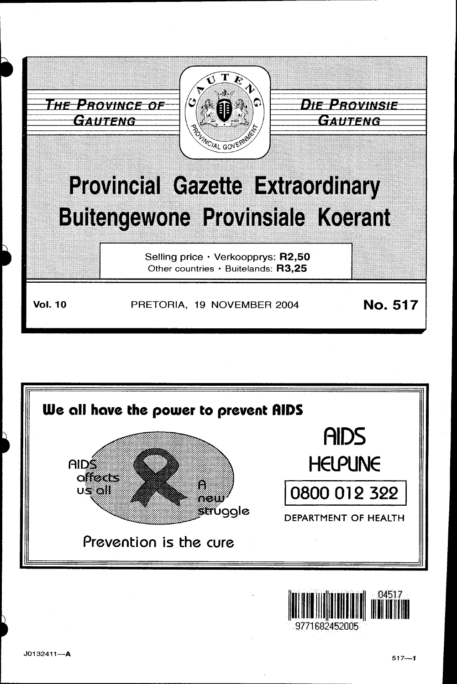



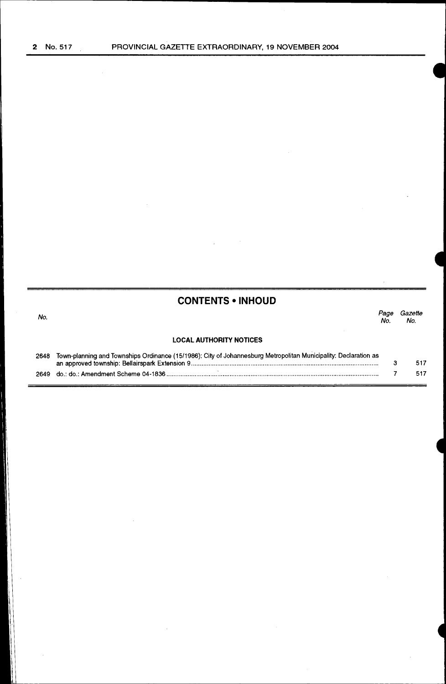| <b>CONTENTS • INHOUD</b> |  |
|--------------------------|--|
|--------------------------|--|

| No.  |                                                                                                                 | Page<br>No. | Gazette<br>No. |
|------|-----------------------------------------------------------------------------------------------------------------|-------------|----------------|
|      | <b>LOCAL AUTHORITY NOTICES</b>                                                                                  |             |                |
| 2648 | Town-planning and Townships Ordinance (15/1986): City of Johannesburg Metropolitan Municipality: Declaration as |             |                |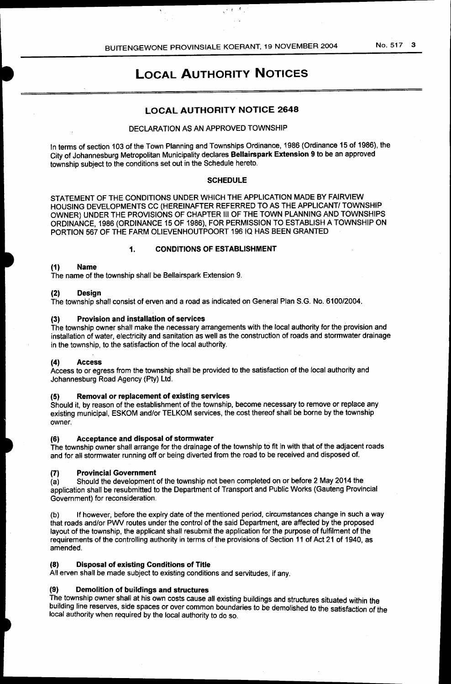$\mathcal{L}(\mathbf{x}) = \mathbf{X}_{\mathcal{L}(\mathbf{x})}$ 

# LOCAL AUTHORITY NOTICES

# LOCAL AUTHORITY NOTICE 2648

### DECLARATION AS AN APPROVED TOWNSHIP

In terms of section 103 of the Town Planning and Townships Ordinance, 1986 {Ordinance 15 of 1986), the City of Johannesburg Metropolitan Municipality declares Bellairspark Extension 9 to be an approved township subject to the conditions set out in the Schedule hereto.

### **SCHEDULE**

STATEMENT OF THE CONDITIONS UNDER WHICH THE APPLICATION MADE BY FAIRVIEW HOUSING DEVELOPMENTS CC (HEREINAFTER REFERRED TO AS THE APPLICANT/ TOWNSHIP OWNER) UNDER THE PROVISIONS OF CHAPTER Ill OF THE TOWN PLANNING AND TOWNSHIPS ORDINANCE, 1986 {ORDINANCE 15 OF 1986), FOR PERMISSION TO ESTABLISH A TOWNSHIP ON PORTION 567 OF THE FARM OLIEVENHOUTPOORT 196 IQ HAS BEEN GRANTED

### 1. CONDITIONS OF ESTABLISHMENT

### (1) Name

The name of the township shall be Bellairspark Extension 9.

### (2) Design

The township shall consist of erven and a road as indicated on General Plan S.G. No. 6100/2004.

### (3) Provision and installation of services

The township owner shall make the necessary arrangements with the local authority for the provision and installation of water, electricity and sanitation as well as the construction of roads and stormwater drainage in the township, to the satisfaction of the local authority.

#### (4) Access

Access to or egress from the township shall be provided to the satisfaction of the local authority and Johannesburg Road Agency (Pty) Ltd.

### (5) Removal or replacement of existing services

Should it, by reason of the establishment of the township, become necessary to remove or replace any existing municipal, ESKOM and/or TELKOM services, the cost thereof shall be borne by the township owner.

#### (6) Acceptance and disposal of stormwater

The township owner shall arrange for the drainage of the township to fit in with that of the adjacent roads and for all stormwater running off or being diverted from the road to be received and disposed of.

## (7) Provincial Government

{a) Should the development of the township not been completed on or before 2 May 2014 the application shall be resubmitted to the Department of Transport and Public Works (Gauteng Provincial Government) for reconsideration.

(b) If however, before the expiry date of the mentioned period, circumstances change in such a way that roads and/or PWV routes under the control of the said Department, are affected by the proposed layout of the township, the applicant shall resubmit the application for the purpose of fulfilment of the requirements of the controlling authority in terms of the provisions of Section 11 of Act 21 of 1940, as amended.

## (8) Disposal of existing Conditions of Title

All erven shall be made subject to existing conditions and servitudes, if any.

## (9) Demolition of buildings and structures

to) we concent our statemer is a series of the concent of the statement of the township owner shall at his own costs cause all existing buildings and structures situated within the building line reserves, side spaces or over common boundaries to be demolished to the satisfaction of the local authority when required by the local authority to do so.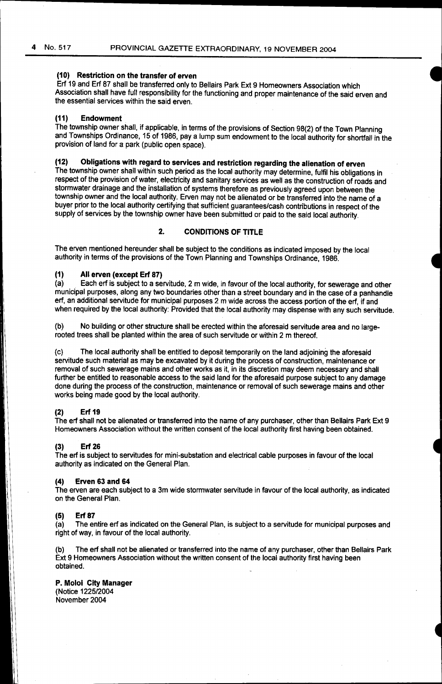### **(10) Restriction on the transfer of erven**

Erf 19 and Erf 87 shall be transferred only to Bellairs Park Ext 9 Homeowners Association which Association shall have full responsibility for the functioning and proper maintenance of the said erven and the essential services within the said erven.

#### **(11) Endowment**

The township owner shall, if applicable, in terms of the provisions of Section 98(2) of the Town Planning and Townships Ordinance, 15 of 1986, pay a lump sum endowment to the local authority for shortfall in the provision of land for a park (public open space).

# **(12) Obligations with regard to services and restriction regarding the alienation of erven**

The township owner shall within such period as the local authority may determine, fulfil his obligations in respect of the provision of water, electricity and sanitary services as well as the construction of roads and stormwater drainage and the installation of systems therefore as previously agreed upon between the township owner and the local authority. Erven may not be alienated or be transferred into the name of a buyer prior to the local authority certifying that sufficient guarantees/cash contributions in respect of the supply of services by the township owner have been submitted or paid to the said local authority.

## **2. CONDITIONS OF TITLE**

The erven mentioned hereunder shall be subject to the conditions as indicated imposed by the local authority in terms of the provisions of the Town Planning and Townships Ordinance, 1986.

# **(1) All erven (except Erf 87)**

Each erf is subject to a servitude, 2 m wide, in favour of the local authority, for sewerage and other municipal purposes, along any two boundaries other than a street boundary and in the case of a panhandle erf, an additional servitude for municipal purposes 2 m wide across the access portion of the erf, if and when required by the local authority: Provided that the local authority may dispense with any such servitude.

(b) No building or other structure shall be erected within the aforesaid servitude area and no largerooted trees shall be planted within the area of such servitude or within 2 m thereof.

(c) The local authority shall be entitled to deposit temporarily on the land adjoining the aforesaid servitude such material as may be excavated by it during the process of construction, maintenance or removal of such sewerage mains and other works as it, in its discretion may deem necessary and shall further be entitled to reasonable access to the said land for the aforesaid purpose subject to any damage done during the process of the construction, maintenance or removal of such sewerage mains and other works being made good by the local authority.

#### **(2) Erf 19**

The erf shall not be alienated or transferred into the name of any purchaser, other than Bellairs Park Ext 9 Homeowners Association without the written consent of the local authority first having been obtained.

#### **(3) Erf 26**

The erf is subject to servitudes for mini-substation and electrical cable purposes in favour of the local authority as indicated on the General Plan.

#### **(4) Erven 63 and 64**

The erven are each subject to a 3m wide stormwater servitude in favour of the local authority, as indicated on the General Plan.

#### **(5) Erf 87**

(a) The entire erf as indicated on the General Plan, is subject to a servitude for municipal purposes and right of way, in favour of the local authority.

(b) The erf shall not be alienated or transferred into the name of any purchaser, other than Bellairs Park Ext 9 Homeowners Association without the written consent of the local authority first having been obtained.

#### **P. Moloi City Manager**

(Notice 1225/2004 November 2004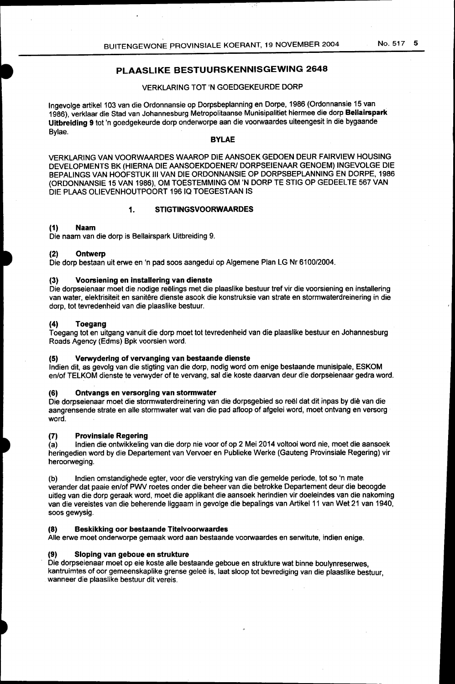# **PLAASLIKE BESTUURSKENNISGEWING 2648**

## VERKLARING TOT 'N GOEDGEKEURDE DORP

Ingevolge artikel 103 van die Ordonnansie op Dorpsbeplanning en Dorpe, 1986 (Ordonnansie 15 van 1986), verklaar die Stad van Johannesburg Metropolitaanse Munisipalitiet hiermee die dorp **Bellairspark Uitbreiding 9** tot 'n goedgekeurde dorp onderworpe aan die voorwaardes uiteengesit in die bygaande Bylae.

#### **BYLAE**

VERKLARING VAN VOORWAARDES WAAROP DIE AANSOEK GEDOEN DEUR FAIRVIEW HOUSING DEVELOPMENTS BK (HIERNA DIE AANSOEKDOENER/ DORPSEIENAAR GENOEM) INGEVOLGE DIE BEPALINGS VAN HOOFSTUK Ill VAN DIE ORDONNANSIE OP DORPSBEPLANNING EN DORPE, 1986 (ORDONNANSIE 15 VAN 1986), OM TOESTEMMING OM 'N DORP TE STIG OP GEDEELTE 567 VAN DIE PLAAS OLIEVENHOUTPOORT 19610 TOEGESTAAN IS

#### **1. STIGTINGSVOORWAARDES**

### **(1) Naam**

Die naam van die dorp is Bellairspark Uitbreiding 9.

#### **(2) Ontwerp**

Die dorp bestaan uit erwe en 'n pad soos aangedui op Algemene Plan LG Nr 6100/2004.

#### (3) **Voorsiening en installering van dienste**

Die dorpseienaar moet die nodige reëlings met die plaaslike bestuur tref vir die voorsiening en installering van water, elektrisiteit en sanitêre dienste asook die konstruksie van strate en stormwaterdreinering in die dorp, tot tevredenheid van die plaaslike bestuur.

#### **(4) Toegang**

Toegang tot en uitgang vanuit die dorp moet tot tevredenheid van die plaaslike bestuur en Johannesburg Roads Agency (Edms) Bpk voorsien word.

#### **(5) Verwyderlng of vervanging van bestaande dienste**

lndien dit, as gevolg van die stigting van die dorp, nodig word om enige bestaande munisipale, ESKOM en/of TELKOM dienste te verwyder of te vervang, sal die koste daarvan deur die dorpseienaar gedra word.

#### **(6) Ontvangs en versorging van storrnwater**

Die dorpseienaar moet die stormwaterdreinering van die dorpsgebied so reël dat dit inpas by die van die aangrensende strate en aile stormwater wat van die pad afloop of afgelei word, moet ontvang en versorg word.

#### **(7) Provinsiale Regering**

(a) lndien die ontwikkeling van die dorp nie voor of op 2 Mei 2014 voltooi word nie, moet die aansoek heringedien word by die Departement van Vervoer en Publieke Werke (Gauteng Provinsiale Regering) vir heroorweging.

(b) lndien omstandighede egter, voor die verstryking van die gemelde periode, tot so 'n mate verander dat paaie en/of PWV roetes onder die beheer van die betrokke Departement deur die beoogde uitleg van die dorp geraak word, moet die applikant die aansoek herindien vir doeleindes van die nakoming van die vereistes van die beherende liggaam in gevolge die bepalings van Artikel 11 van Wet 21 van 1940, soos gewysig.

#### **(8) Beskikking oor bestaande Titelvoorwaardes**

Aile erwe moet onderworpe gemaak word aan bestaande voorwaardes en serwitute, indien enige.

#### **(9) Sloping van geboue en strukture**

Die dorpseienaar moet op eie koste alle bestaande geboue en strukture wat binne boulynreserwes, kantruimtes of oor gemeenskaplike grense gelee is, laat sloop tot bevrediging van die plaaslike bestuur, wanneer die plaaslike bestuur dit vereis.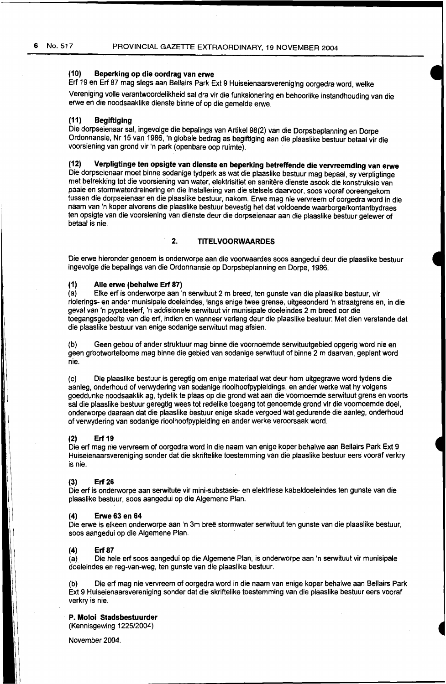## **(10) Beperking op die oordrag van erwe**

Erf 19 en Erf 87 mag slegs aan Bellairs Park Ext 9 Huiseienaarsvereniging oorgedra word, welke

Vereniging volle verantwoordelikheid sal dra vir die funksionering en behoorlike instandhouding van die erwe en die noodsaaklike dienste binne of op die gemelde erwe.

## **(11) Begiftiging**

Die dorpseienaar sal, ingevolge die bepalings van Artikel 98(2) van die Dorpsbeplanning en Dorpe Ordonnansie, Nr 15 van 1986, 'n globale bedrag as begiftiging aan die plaaslike bestuur betaal vir die voorsiening van grond vir 'n park (openbare oop ruimte).

## **(12) Verpligtinge ten opsigte van dienste en beperking betreffende die vervreemding van erwe**

Die dorpseienaar moet binne sodanige tydperk as wat die plaaslike bestuur mag bepaal, sy verpligtinge met betrekking tot die voorsiening van water, elektrisitiet en sanitêre dienste asook die konstruksie van paaie en stormwaterdreinering en die installering van die stelsels daarvoor, soos vooraf ooreengekom tussen die dorpseienaar en die plaaslike bestuur, nakom. Erwe mag nie vervreem of oorgedra word in die naam van 'n koper alvorens die plaaslike bestuur bevestig het dat voldoende waarborge/kontantbydraes ten opsigte van die voorsiening van dienste deur die dorpseienaar aan die plaaslike bestuur gelewer of betaal is nie.

## **2. TITELVOORWAARDES**

Die erwe hieronder genoem is onderworpe aan die voorwaardes soos aangedui deur die plaaslike bestuur ingevolge die bepalings van die Ordonnansie op Dorpsbeplanning en Dorpe, 1986.

# **(1) Aile erwe (behalwe Erf 87)**

Elke erf is onderworpe aan 'n serwituut 2 m breed, ten gunste van die plaaslike bestuur, vir riolerings- en ander munisipale doeleindes, langs enige twee grense, uitgesonderd 'n straatgrens en, in die geval van 'n pypsteelerf, 'n addisionele serwituut vir munisipale doeleindes 2 m breed oor die toegangsgedeelte van die erf, indien en wanneer verlang deur die plaaslike bestuur: Met dien verstande dat die plaaslike bestuur van enige sodanige serwituut mag afsien.

(b) Geen gebou of ander struktuur mag binne die voornoemde serwituutgebied opgerig word nie en geen grootwortelbome mag binne die gebied van sodanige serwituut of binne 2 m daarvan, geplant word nie.

(c) Die plaaslike bestuur is geregtig om enige materiaal wat deur hom uitgegrawe word tydens die aanleg, onderhoud of verwydering van sodanige rioolhoofpypleidings, en ander werke wat hy volgens goeddunke noodsaaklik ag, tydelik te plaas op die grond wat aan die voornoemde serwituut grens en voorts sal die plaaslike bestuur geregtig wees tot redelike toegang tot genoemde grond vir die voornoemde doe!, onderworpe daaraan dat die plaaslike bestuur enige skade vergoed wat gedurende die aanleg, onderhoud of verwydering van sodanige rioolhoofpypleiding en ander werke veroorsaak word.

#### **(2) Erf 19**

Die erf mag nie vervreem of oorgedra word in die naam van enige koper behalwe aan Bellairs Park Ext 9 Huiseienaarsvereniging sander dat die skriftelike toestemming van die plaaslike bestuur eers vooraf verkry is nie.

#### **(3) Erf 26**

Die erf is onderworpe aan serwitute vir mini-substasie- en elektriese kabeldoeleindes ten gunste van die plaaslike bestuur, soos aangedui op die Algemene Plan.

#### **(4) Erwe 63 en 64**

Die erwe is elkeen onderworpe aan 'n 3m breë stormwater serwituut ten gunste van die plaaslike bestuur, soos aangedui op die Algemene Plan.

#### **(4) Erf 87**

(a) Die hele erf soos aangedui op die Algemene Plan, is onderworpe aan 'n serwituut vir munisipale doeleindes en reg-van-weg, ten gunste van die plaaslike bestuur.

Die erf mag nie vervreem of oorgedra word in die naam van enige koper behalwe aan Bellairs Park Ext 9 Huiseienaarsvereniging sander dat die skriftelike toestemming van die plaaslike bestuur eers vooraf verkry is nie.

**P. Moloi Stadsbestuurder** 

(Kennisgewing 1225/2004)

November 2004.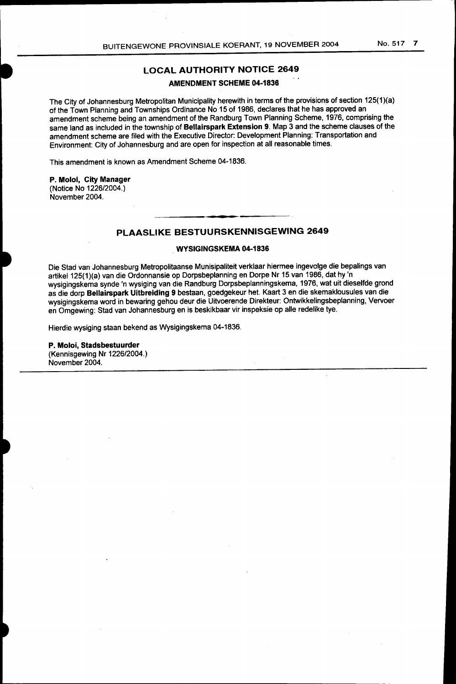## **LOCAL AUTHORITY NOTICE 2649**

### **AMENDMENT SCHEME 04-1836**

The City of Johannesburg Metropolitan Municipality herewith in terms of the provisions of section 125(1)(a) of the Town Planning and Townships Ordinance No 15 of 1986, declares that he has approved an amendment scheme being an amendment of the Randburg Town Planning Scheme, 1976, comprising the same land as included in the township of **Bellairspark Extension 9.** Map 3 and the scheme clauses of the amendment scheme are filed with the Executive Director: Development Planning: Transportation and Environment: City of Johannesburg and are open for inspection at all reasonable times.

This amendment is known as Amendment Scheme 04-1836.

### **P. Moloi, City Manager**

(Notice No 1226/2004.) November 2004.

# **PLAASLIKE BESTUURSKENNISGEWING 2649**

#### **WYSIGINGSKEMA 04-1836**

Die Stad van Johannesburg Metropolitaanse Munisipaliteit verklaar hiermee ingevolge die bepalings van artikel125(1)(a) van die Ordonnansie op Dorpsbeplanning en Dorpe Nr 15 van 1986, dat hy 'n wysigingskema synde 'n wysiging van die Randburg Dorpsbeplanningskema, 1976, wat uit dieselfde grond as die dorp **Bellairspark Uitbreiding 9** bestaan, goedgekeur het. Kaart 3 en die skemaklousules van die wysigingskema word in bewaring gehou deur die Uitvoerende Direkteur: Ontwikkelingsbeplanning, Vervoer en Omgewing: Stad van Johannesburg en is beskikbaar vir inspeksie op aile redelike tye.

Hierdie wysiging staan bekend as Wysigingskema 04-1836.

### **P. Moloi, Stadsbestuurder**

(Kennisgewing Nr 1226/2004.) November 2004.